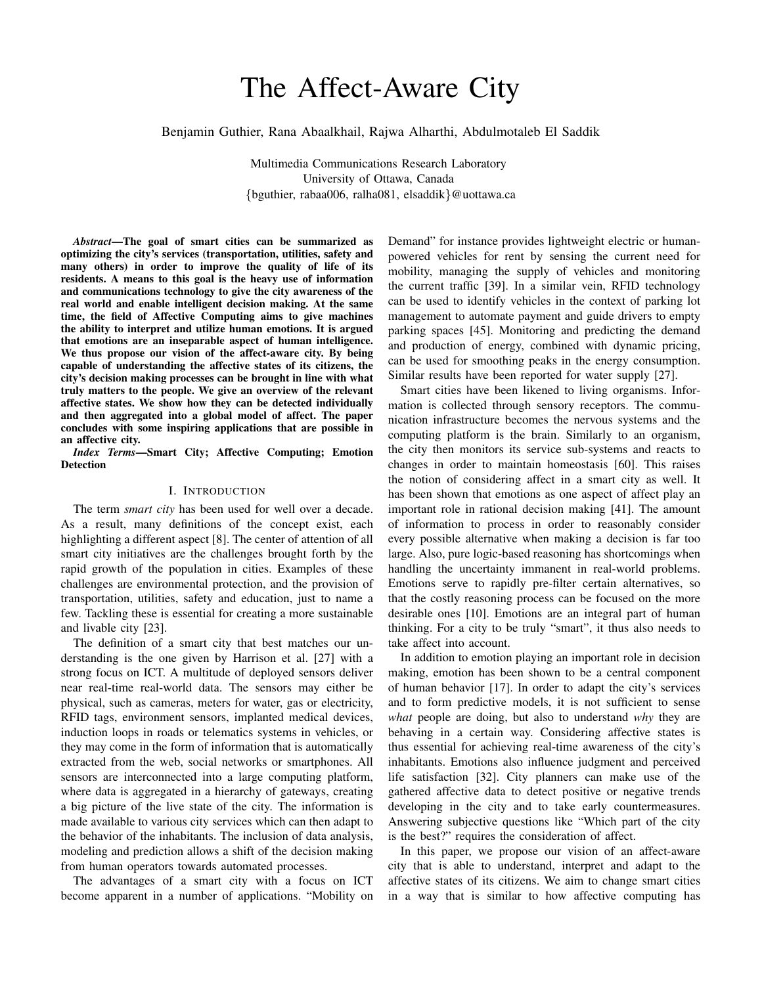# The Affect-Aware City

Benjamin Guthier, Rana Abaalkhail, Rajwa Alharthi, Abdulmotaleb El Saddik

Multimedia Communications Research Laboratory University of Ottawa, Canada {bguthier, rabaa006, ralha081, elsaddik}@uottawa.ca

*Abstract*—The goal of smart cities can be summarized as optimizing the city's services (transportation, utilities, safety and many others) in order to improve the quality of life of its residents. A means to this goal is the heavy use of information and communications technology to give the city awareness of the real world and enable intelligent decision making. At the same time, the field of Affective Computing aims to give machines the ability to interpret and utilize human emotions. It is argued that emotions are an inseparable aspect of human intelligence. We thus propose our vision of the affect-aware city. By being capable of understanding the affective states of its citizens, the city's decision making processes can be brought in line with what truly matters to the people. We give an overview of the relevant affective states. We show how they can be detected individually and then aggregated into a global model of affect. The paper concludes with some inspiring applications that are possible in an affective city.

*Index Terms*—Smart City; Affective Computing; Emotion **Detection** 

## I. INTRODUCTION

The term *smart city* has been used for well over a decade. As a result, many definitions of the concept exist, each highlighting a different aspect [8]. The center of attention of all smart city initiatives are the challenges brought forth by the rapid growth of the population in cities. Examples of these challenges are environmental protection, and the provision of transportation, utilities, safety and education, just to name a few. Tackling these is essential for creating a more sustainable and livable city [23].

The definition of a smart city that best matches our understanding is the one given by Harrison et al. [27] with a strong focus on ICT. A multitude of deployed sensors deliver near real-time real-world data. The sensors may either be physical, such as cameras, meters for water, gas or electricity, RFID tags, environment sensors, implanted medical devices, induction loops in roads or telematics systems in vehicles, or they may come in the form of information that is automatically extracted from the web, social networks or smartphones. All sensors are interconnected into a large computing platform, where data is aggregated in a hierarchy of gateways, creating a big picture of the live state of the city. The information is made available to various city services which can then adapt to the behavior of the inhabitants. The inclusion of data analysis, modeling and prediction allows a shift of the decision making from human operators towards automated processes.

The advantages of a smart city with a focus on ICT become apparent in a number of applications. "Mobility on Demand" for instance provides lightweight electric or humanpowered vehicles for rent by sensing the current need for mobility, managing the supply of vehicles and monitoring the current traffic [39]. In a similar vein, RFID technology can be used to identify vehicles in the context of parking lot management to automate payment and guide drivers to empty parking spaces [45]. Monitoring and predicting the demand and production of energy, combined with dynamic pricing, can be used for smoothing peaks in the energy consumption. Similar results have been reported for water supply [27].

Smart cities have been likened to living organisms. Information is collected through sensory receptors. The communication infrastructure becomes the nervous systems and the computing platform is the brain. Similarly to an organism, the city then monitors its service sub-systems and reacts to changes in order to maintain homeostasis [60]. This raises the notion of considering affect in a smart city as well. It has been shown that emotions as one aspect of affect play an important role in rational decision making [41]. The amount of information to process in order to reasonably consider every possible alternative when making a decision is far too large. Also, pure logic-based reasoning has shortcomings when handling the uncertainty immanent in real-world problems. Emotions serve to rapidly pre-filter certain alternatives, so that the costly reasoning process can be focused on the more desirable ones [10]. Emotions are an integral part of human thinking. For a city to be truly "smart", it thus also needs to take affect into account.

In addition to emotion playing an important role in decision making, emotion has been shown to be a central component of human behavior [17]. In order to adapt the city's services and to form predictive models, it is not sufficient to sense *what* people are doing, but also to understand *why* they are behaving in a certain way. Considering affective states is thus essential for achieving real-time awareness of the city's inhabitants. Emotions also influence judgment and perceived life satisfaction [32]. City planners can make use of the gathered affective data to detect positive or negative trends developing in the city and to take early countermeasures. Answering subjective questions like "Which part of the city is the best?" requires the consideration of affect.

In this paper, we propose our vision of an affect-aware city that is able to understand, interpret and adapt to the affective states of its citizens. We aim to change smart cities in a way that is similar to how affective computing has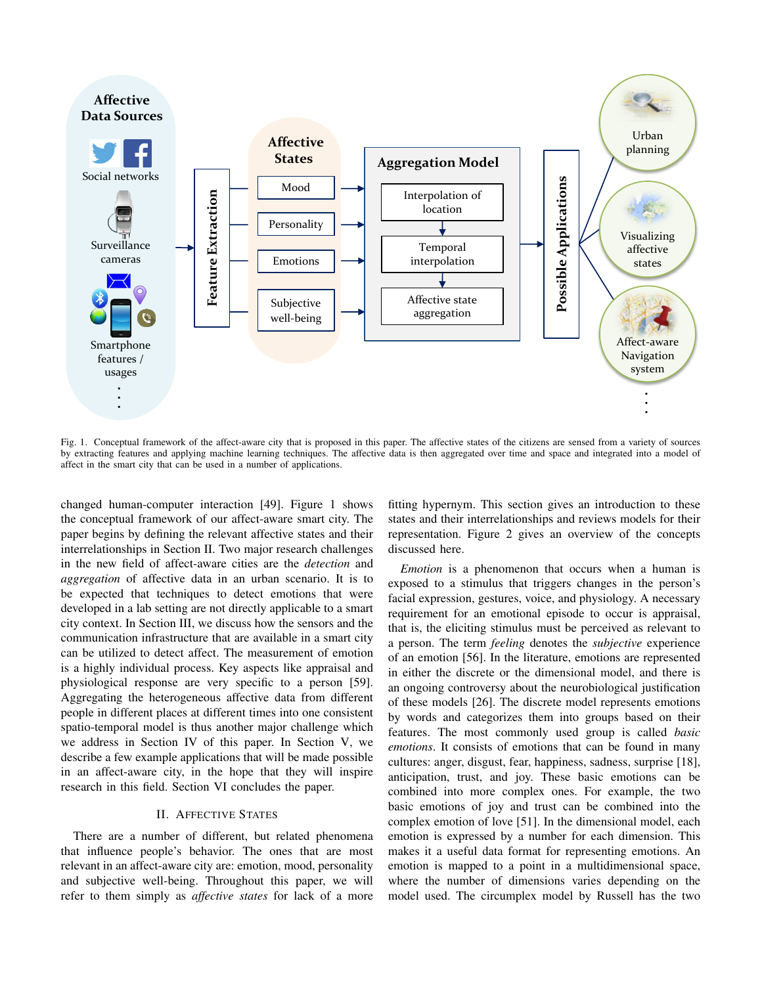

Fig. 1. Conceptual framework of the affect-aware city that is proposed in this paper. The affective states of the citizens are sensed from a variety of sources by extracting features and applying machine learning techniques. The affective data is then aggregated over time and space and integrated into a model of affect in the smart city that can be used in a number of applications.

changed human-computer interaction [49]. Figure 1 shows the conceptual framework of our affect-aware smart city. The paper begins by defining the relevant affective states and their interrelationships in Section II. Two major research challenges in the new field of affect-aware cities are the *detection* and *aggregation* of affective data in an urban scenario. It is to be expected that techniques to detect emotions that were developed in a lab setting are not directly applicable to a smart city context. In Section III, we discuss how the sensors and the communication infrastructure that are available in a smart city can be utilized to detect affect. The measurement of emotion is a highly individual process. Key aspects like appraisal and physiological response are very specific to a person [59]. Aggregating the heterogeneous affective data from different people in different places at different times into one consistent spatio-temporal model is thus another major challenge which we address in Section IV of this paper. In Section V, we describe a few example applications that will be made possible in an affect-aware city, in the hope that they will inspire research in this field. Section VI concludes the paper.

# II. AFFECTIVE STATES

There are a number of different, but related phenomena that influence people's behavior. The ones that are most relevant in an affect-aware city are: emotion, mood, personality and subjective well-being. Throughout this paper, we will refer to them simply as *affective states* for lack of a more

fitting hypernym. This section gives an introduction to these states and their interrelationships and reviews models for their representation. Figure 2 gives an overview of the concepts discussed here.

*Emotion* is a phenomenon that occurs when a human is exposed to a stimulus that triggers changes in the person's facial expression, gestures, voice, and physiology. A necessary requirement for an emotional episode to occur is appraisal, that is, the eliciting stimulus must be perceived as relevant to a person. The term *feeling* denotes the *subjective* experience of an emotion [56]. In the literature, emotions are represented in either the discrete or the dimensional model, and there is an ongoing controversy about the neurobiological justification of these models [26]. The discrete model represents emotions by words and categorizes them into groups based on their features. The most commonly used group is called *basic emotions*. It consists of emotions that can be found in many cultures: anger, disgust, fear, happiness, sadness, surprise [18], anticipation, trust, and joy. These basic emotions can be combined into more complex ones. For example, the two basic emotions of joy and trust can be combined into the complex emotion of love [51]. In the dimensional model, each emotion is expressed by a number for each dimension. This makes it a useful data format for representing emotions. An emotion is mapped to a point in a multidimensional space, where the number of dimensions varies depending on the model used. The circumplex model by Russell has the two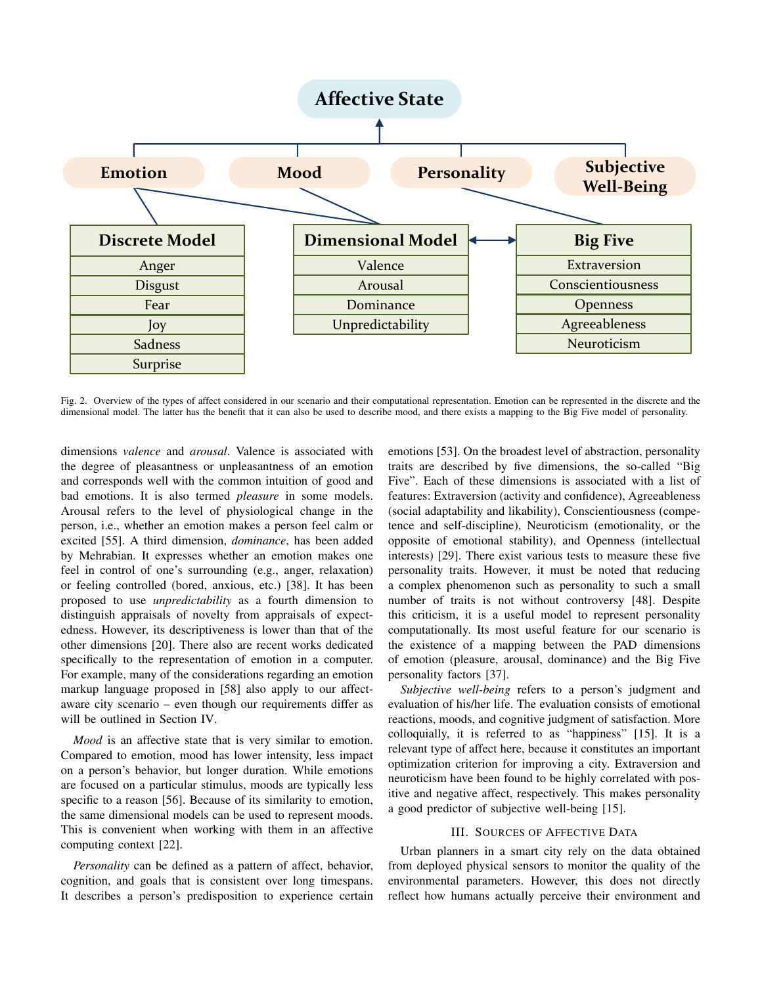

Fig. 2. Overview of the types of affect considered in our scenario and their computational representation. Emotion can be represented in the discrete and the dimensional model. The latter has the benefit that it can also be used to describe mood, and there exists a mapping to the Big Five model of personality.

dimensions *valence* and *arousal*. Valence is associated with the degree of pleasantness or unpleasantness of an emotion and corresponds well with the common intuition of good and bad emotions. It is also termed *pleasure* in some models. Arousal refers to the level of physiological change in the person, i.e., whether an emotion makes a person feel calm or excited [55]. A third dimension, *dominance*, has been added by Mehrabian. It expresses whether an emotion makes one feel in control of one's surrounding (e.g., anger, relaxation) or feeling controlled (bored, anxious, etc.) [38]. It has been proposed to use *unpredictability* as a fourth dimension to distinguish appraisals of novelty from appraisals of expectedness. However, its descriptiveness is lower than that of the other dimensions [20]. There also are recent works dedicated specifically to the representation of emotion in a computer. For example, many of the considerations regarding an emotion markup language proposed in [58] also apply to our affectaware city scenario – even though our requirements differ as will be outlined in Section IV.

*Mood* is an affective state that is very similar to emotion. Compared to emotion, mood has lower intensity, less impact on a person's behavior, but longer duration. While emotions are focused on a particular stimulus, moods are typically less specific to a reason [56]. Because of its similarity to emotion, the same dimensional models can be used to represent moods. This is convenient when working with them in an affective computing context [22].

*Personality* can be defined as a pattern of affect, behavior, cognition, and goals that is consistent over long timespans. It describes a person's predisposition to experience certain

emotions [53]. On the broadest level of abstraction, personality traits are described by five dimensions, the so-called "Big Five". Each of these dimensions is associated with a list of features: Extraversion (activity and confidence), Agreeableness (social adaptability and likability), Conscientiousness (competence and self-discipline), Neuroticism (emotionality, or the opposite of emotional stability), and Openness (intellectual interests) [29]. There exist various tests to measure these five personality traits. However, it must be noted that reducing a complex phenomenon such as personality to such a small number of traits is not without controversy [48]. Despite this criticism, it is a useful model to represent personality computationally. Its most useful feature for our scenario is the existence of a mapping between the PAD dimensions of emotion (pleasure, arousal, dominance) and the Big Five personality factors [37].

*Subjective well-being* refers to a person's judgment and evaluation of his/her life. The evaluation consists of emotional reactions, moods, and cognitive judgment of satisfaction. More colloquially, it is referred to as "happiness" [15]. It is a relevant type of affect here, because it constitutes an important optimization criterion for improving a city. Extraversion and neuroticism have been found to be highly correlated with positive and negative affect, respectively. This makes personality a good predictor of subjective well-being [15].

## III. SOURCES OF AFFECTIVE DATA

Urban planners in a smart city rely on the data obtained from deployed physical sensors to monitor the quality of the environmental parameters. However, this does not directly reflect how humans actually perceive their environment and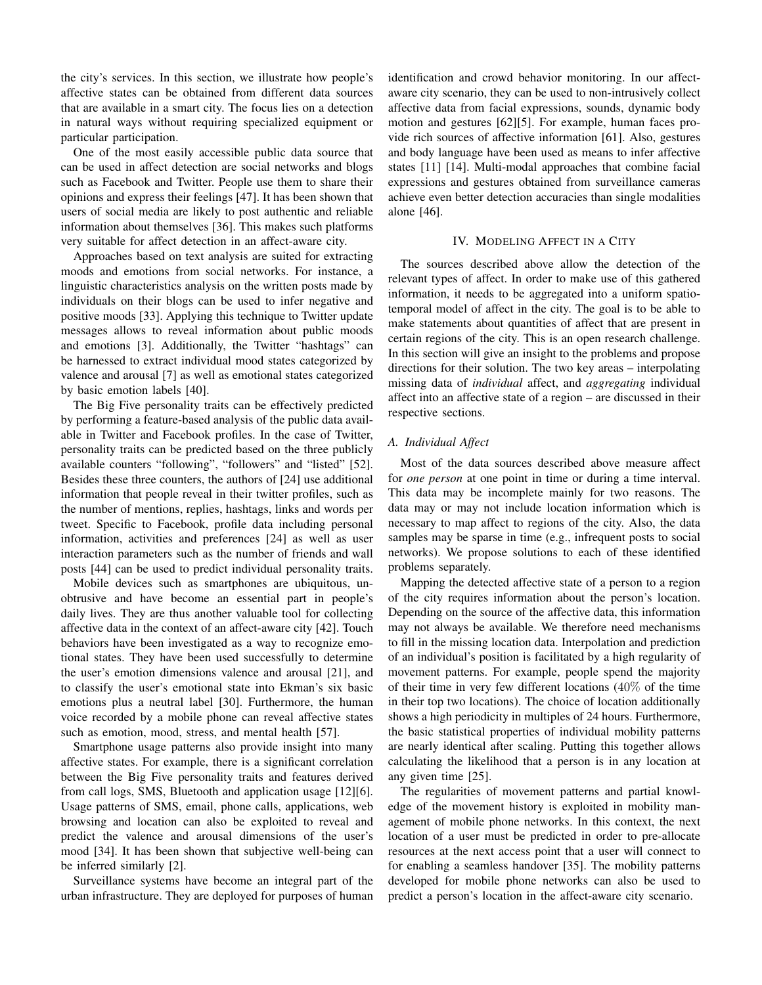the city's services. In this section, we illustrate how people's affective states can be obtained from different data sources that are available in a smart city. The focus lies on a detection in natural ways without requiring specialized equipment or particular participation.

One of the most easily accessible public data source that can be used in affect detection are social networks and blogs such as Facebook and Twitter. People use them to share their opinions and express their feelings [47]. It has been shown that users of social media are likely to post authentic and reliable information about themselves [36]. This makes such platforms very suitable for affect detection in an affect-aware city.

Approaches based on text analysis are suited for extracting moods and emotions from social networks. For instance, a linguistic characteristics analysis on the written posts made by individuals on their blogs can be used to infer negative and positive moods [33]. Applying this technique to Twitter update messages allows to reveal information about public moods and emotions [3]. Additionally, the Twitter "hashtags" can be harnessed to extract individual mood states categorized by valence and arousal [7] as well as emotional states categorized by basic emotion labels [40].

The Big Five personality traits can be effectively predicted by performing a feature-based analysis of the public data available in Twitter and Facebook profiles. In the case of Twitter, personality traits can be predicted based on the three publicly available counters "following", "followers" and "listed" [52]. Besides these three counters, the authors of [24] use additional information that people reveal in their twitter profiles, such as the number of mentions, replies, hashtags, links and words per tweet. Specific to Facebook, profile data including personal information, activities and preferences [24] as well as user interaction parameters such as the number of friends and wall posts [44] can be used to predict individual personality traits.

Mobile devices such as smartphones are ubiquitous, unobtrusive and have become an essential part in people's daily lives. They are thus another valuable tool for collecting affective data in the context of an affect-aware city [42]. Touch behaviors have been investigated as a way to recognize emotional states. They have been used successfully to determine the user's emotion dimensions valence and arousal [21], and to classify the user's emotional state into Ekman's six basic emotions plus a neutral label [30]. Furthermore, the human voice recorded by a mobile phone can reveal affective states such as emotion, mood, stress, and mental health [57].

Smartphone usage patterns also provide insight into many affective states. For example, there is a significant correlation between the Big Five personality traits and features derived from call logs, SMS, Bluetooth and application usage [12][6]. Usage patterns of SMS, email, phone calls, applications, web browsing and location can also be exploited to reveal and predict the valence and arousal dimensions of the user's mood [34]. It has been shown that subjective well-being can be inferred similarly [2].

Surveillance systems have become an integral part of the urban infrastructure. They are deployed for purposes of human identification and crowd behavior monitoring. In our affectaware city scenario, they can be used to non-intrusively collect affective data from facial expressions, sounds, dynamic body motion and gestures [62][5]. For example, human faces provide rich sources of affective information [61]. Also, gestures and body language have been used as means to infer affective states [11] [14]. Multi-modal approaches that combine facial expressions and gestures obtained from surveillance cameras achieve even better detection accuracies than single modalities alone [46].

#### IV. MODELING AFFECT IN A CITY

The sources described above allow the detection of the relevant types of affect. In order to make use of this gathered information, it needs to be aggregated into a uniform spatiotemporal model of affect in the city. The goal is to be able to make statements about quantities of affect that are present in certain regions of the city. This is an open research challenge. In this section will give an insight to the problems and propose directions for their solution. The two key areas – interpolating missing data of *individual* affect, and *aggregating* individual affect into an affective state of a region – are discussed in their respective sections.

#### *A. Individual Affect*

Most of the data sources described above measure affect for *one person* at one point in time or during a time interval. This data may be incomplete mainly for two reasons. The data may or may not include location information which is necessary to map affect to regions of the city. Also, the data samples may be sparse in time (e.g., infrequent posts to social networks). We propose solutions to each of these identified problems separately.

Mapping the detected affective state of a person to a region of the city requires information about the person's location. Depending on the source of the affective data, this information may not always be available. We therefore need mechanisms to fill in the missing location data. Interpolation and prediction of an individual's position is facilitated by a high regularity of movement patterns. For example, people spend the majority of their time in very few different locations (40% of the time in their top two locations). The choice of location additionally shows a high periodicity in multiples of 24 hours. Furthermore, the basic statistical properties of individual mobility patterns are nearly identical after scaling. Putting this together allows calculating the likelihood that a person is in any location at any given time [25].

The regularities of movement patterns and partial knowledge of the movement history is exploited in mobility management of mobile phone networks. In this context, the next location of a user must be predicted in order to pre-allocate resources at the next access point that a user will connect to for enabling a seamless handover [35]. The mobility patterns developed for mobile phone networks can also be used to predict a person's location in the affect-aware city scenario.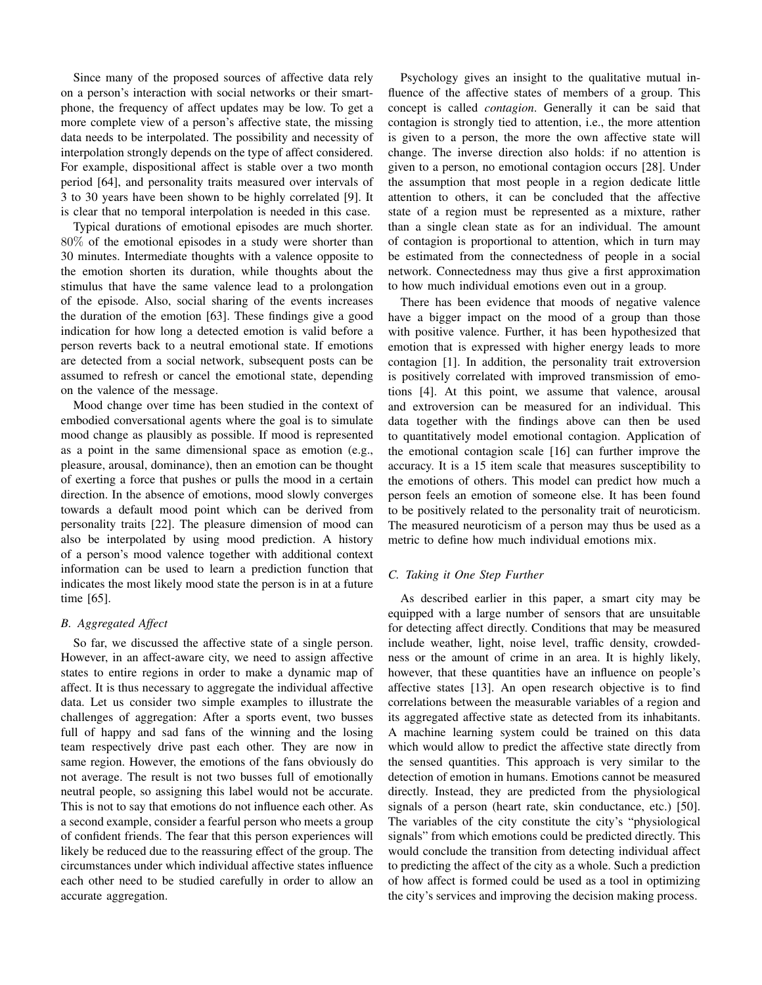Since many of the proposed sources of affective data rely on a person's interaction with social networks or their smartphone, the frequency of affect updates may be low. To get a more complete view of a person's affective state, the missing data needs to be interpolated. The possibility and necessity of interpolation strongly depends on the type of affect considered. For example, dispositional affect is stable over a two month period [64], and personality traits measured over intervals of 3 to 30 years have been shown to be highly correlated [9]. It is clear that no temporal interpolation is needed in this case.

Typical durations of emotional episodes are much shorter. 80% of the emotional episodes in a study were shorter than 30 minutes. Intermediate thoughts with a valence opposite to the emotion shorten its duration, while thoughts about the stimulus that have the same valence lead to a prolongation of the episode. Also, social sharing of the events increases the duration of the emotion [63]. These findings give a good indication for how long a detected emotion is valid before a person reverts back to a neutral emotional state. If emotions are detected from a social network, subsequent posts can be assumed to refresh or cancel the emotional state, depending on the valence of the message.

Mood change over time has been studied in the context of embodied conversational agents where the goal is to simulate mood change as plausibly as possible. If mood is represented as a point in the same dimensional space as emotion (e.g., pleasure, arousal, dominance), then an emotion can be thought of exerting a force that pushes or pulls the mood in a certain direction. In the absence of emotions, mood slowly converges towards a default mood point which can be derived from personality traits [22]. The pleasure dimension of mood can also be interpolated by using mood prediction. A history of a person's mood valence together with additional context information can be used to learn a prediction function that indicates the most likely mood state the person is in at a future time [65].

## *B. Aggregated Affect*

So far, we discussed the affective state of a single person. However, in an affect-aware city, we need to assign affective states to entire regions in order to make a dynamic map of affect. It is thus necessary to aggregate the individual affective data. Let us consider two simple examples to illustrate the challenges of aggregation: After a sports event, two busses full of happy and sad fans of the winning and the losing team respectively drive past each other. They are now in same region. However, the emotions of the fans obviously do not average. The result is not two busses full of emotionally neutral people, so assigning this label would not be accurate. This is not to say that emotions do not influence each other. As a second example, consider a fearful person who meets a group of confident friends. The fear that this person experiences will likely be reduced due to the reassuring effect of the group. The circumstances under which individual affective states influence each other need to be studied carefully in order to allow an accurate aggregation.

Psychology gives an insight to the qualitative mutual influence of the affective states of members of a group. This concept is called *contagion*. Generally it can be said that contagion is strongly tied to attention, i.e., the more attention is given to a person, the more the own affective state will change. The inverse direction also holds: if no attention is given to a person, no emotional contagion occurs [28]. Under the assumption that most people in a region dedicate little attention to others, it can be concluded that the affective state of a region must be represented as a mixture, rather than a single clean state as for an individual. The amount of contagion is proportional to attention, which in turn may be estimated from the connectedness of people in a social network. Connectedness may thus give a first approximation to how much individual emotions even out in a group.

There has been evidence that moods of negative valence have a bigger impact on the mood of a group than those with positive valence. Further, it has been hypothesized that emotion that is expressed with higher energy leads to more contagion [1]. In addition, the personality trait extroversion is positively correlated with improved transmission of emotions [4]. At this point, we assume that valence, arousal and extroversion can be measured for an individual. This data together with the findings above can then be used to quantitatively model emotional contagion. Application of the emotional contagion scale [16] can further improve the accuracy. It is a 15 item scale that measures susceptibility to the emotions of others. This model can predict how much a person feels an emotion of someone else. It has been found to be positively related to the personality trait of neuroticism. The measured neuroticism of a person may thus be used as a metric to define how much individual emotions mix.

#### *C. Taking it One Step Further*

As described earlier in this paper, a smart city may be equipped with a large number of sensors that are unsuitable for detecting affect directly. Conditions that may be measured include weather, light, noise level, traffic density, crowdedness or the amount of crime in an area. It is highly likely, however, that these quantities have an influence on people's affective states [13]. An open research objective is to find correlations between the measurable variables of a region and its aggregated affective state as detected from its inhabitants. A machine learning system could be trained on this data which would allow to predict the affective state directly from the sensed quantities. This approach is very similar to the detection of emotion in humans. Emotions cannot be measured directly. Instead, they are predicted from the physiological signals of a person (heart rate, skin conductance, etc.) [50]. The variables of the city constitute the city's "physiological signals" from which emotions could be predicted directly. This would conclude the transition from detecting individual affect to predicting the affect of the city as a whole. Such a prediction of how affect is formed could be used as a tool in optimizing the city's services and improving the decision making process.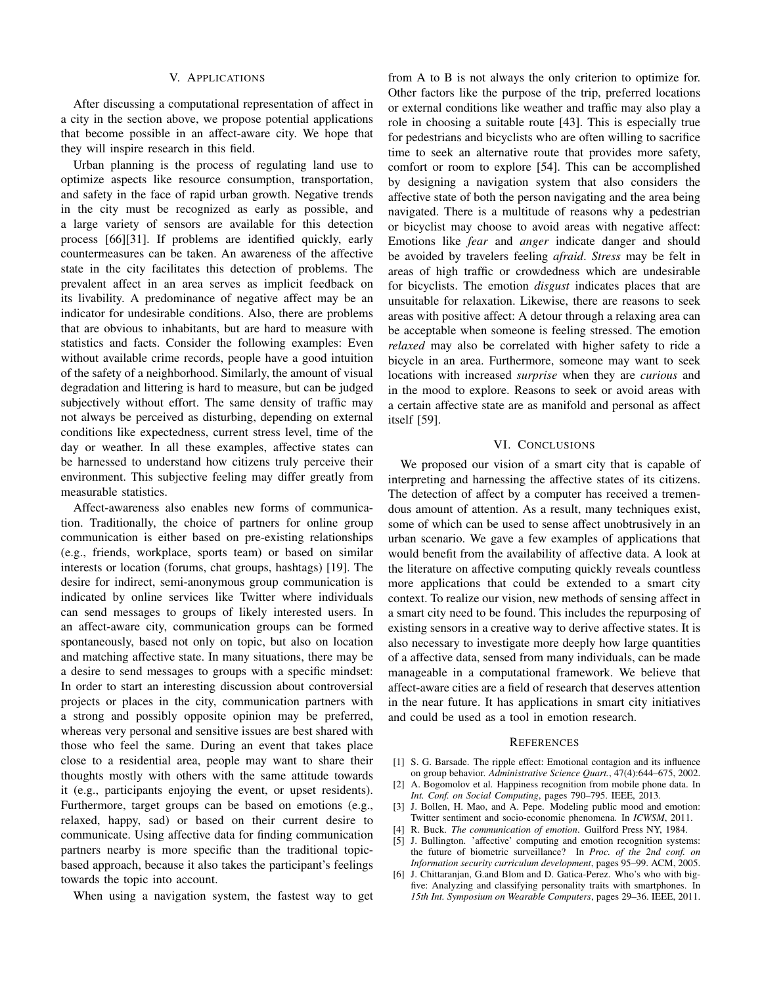#### V. APPLICATIONS

After discussing a computational representation of affect in a city in the section above, we propose potential applications that become possible in an affect-aware city. We hope that they will inspire research in this field.

Urban planning is the process of regulating land use to optimize aspects like resource consumption, transportation, and safety in the face of rapid urban growth. Negative trends in the city must be recognized as early as possible, and a large variety of sensors are available for this detection process [66][31]. If problems are identified quickly, early countermeasures can be taken. An awareness of the affective state in the city facilitates this detection of problems. The prevalent affect in an area serves as implicit feedback on its livability. A predominance of negative affect may be an indicator for undesirable conditions. Also, there are problems that are obvious to inhabitants, but are hard to measure with statistics and facts. Consider the following examples: Even without available crime records, people have a good intuition of the safety of a neighborhood. Similarly, the amount of visual degradation and littering is hard to measure, but can be judged subjectively without effort. The same density of traffic may not always be perceived as disturbing, depending on external conditions like expectedness, current stress level, time of the day or weather. In all these examples, affective states can be harnessed to understand how citizens truly perceive their environment. This subjective feeling may differ greatly from measurable statistics.

Affect-awareness also enables new forms of communication. Traditionally, the choice of partners for online group communication is either based on pre-existing relationships (e.g., friends, workplace, sports team) or based on similar interests or location (forums, chat groups, hashtags) [19]. The desire for indirect, semi-anonymous group communication is indicated by online services like Twitter where individuals can send messages to groups of likely interested users. In an affect-aware city, communication groups can be formed spontaneously, based not only on topic, but also on location and matching affective state. In many situations, there may be a desire to send messages to groups with a specific mindset: In order to start an interesting discussion about controversial projects or places in the city, communication partners with a strong and possibly opposite opinion may be preferred, whereas very personal and sensitive issues are best shared with those who feel the same. During an event that takes place close to a residential area, people may want to share their thoughts mostly with others with the same attitude towards it (e.g., participants enjoying the event, or upset residents). Furthermore, target groups can be based on emotions (e.g., relaxed, happy, sad) or based on their current desire to communicate. Using affective data for finding communication partners nearby is more specific than the traditional topicbased approach, because it also takes the participant's feelings towards the topic into account.

When using a navigation system, the fastest way to get

from A to B is not always the only criterion to optimize for. Other factors like the purpose of the trip, preferred locations or external conditions like weather and traffic may also play a role in choosing a suitable route [43]. This is especially true for pedestrians and bicyclists who are often willing to sacrifice time to seek an alternative route that provides more safety, comfort or room to explore [54]. This can be accomplished by designing a navigation system that also considers the affective state of both the person navigating and the area being navigated. There is a multitude of reasons why a pedestrian or bicyclist may choose to avoid areas with negative affect: Emotions like *fear* and *anger* indicate danger and should be avoided by travelers feeling *afraid*. *Stress* may be felt in areas of high traffic or crowdedness which are undesirable for bicyclists. The emotion *disgust* indicates places that are unsuitable for relaxation. Likewise, there are reasons to seek areas with positive affect: A detour through a relaxing area can be acceptable when someone is feeling stressed. The emotion *relaxed* may also be correlated with higher safety to ride a bicycle in an area. Furthermore, someone may want to seek locations with increased *surprise* when they are *curious* and in the mood to explore. Reasons to seek or avoid areas with a certain affective state are as manifold and personal as affect itself [59].

## VI. CONCLUSIONS

We proposed our vision of a smart city that is capable of interpreting and harnessing the affective states of its citizens. The detection of affect by a computer has received a tremendous amount of attention. As a result, many techniques exist, some of which can be used to sense affect unobtrusively in an urban scenario. We gave a few examples of applications that would benefit from the availability of affective data. A look at the literature on affective computing quickly reveals countless more applications that could be extended to a smart city context. To realize our vision, new methods of sensing affect in a smart city need to be found. This includes the repurposing of existing sensors in a creative way to derive affective states. It is also necessary to investigate more deeply how large quantities of a affective data, sensed from many individuals, can be made manageable in a computational framework. We believe that affect-aware cities are a field of research that deserves attention in the near future. It has applications in smart city initiatives and could be used as a tool in emotion research.

#### **REFERENCES**

- [1] S. G. Barsade. The ripple effect: Emotional contagion and its influence on group behavior. *Administrative Science Quart.*, 47(4):644–675, 2002.
- [2] A. Bogomolov et al. Happiness recognition from mobile phone data. In *Int. Conf. on Social Computing*, pages 790–795. IEEE, 2013.
- [3] J. Bollen, H. Mao, and A. Pepe. Modeling public mood and emotion: Twitter sentiment and socio-economic phenomena. In *ICWSM*, 2011.
- [4] R. Buck. *The communication of emotion*. Guilford Press NY, 1984.
- [5] J. Bullington. 'affective' computing and emotion recognition systems: the future of biometric surveillance? In *Proc. of the 2nd conf. on Information security curriculum development*, pages 95–99. ACM, 2005.
- [6] J. Chittaranjan, G.and Blom and D. Gatica-Perez. Who's who with bigfive: Analyzing and classifying personality traits with smartphones. In *15th Int. Symposium on Wearable Computers*, pages 29–36. IEEE, 2011.